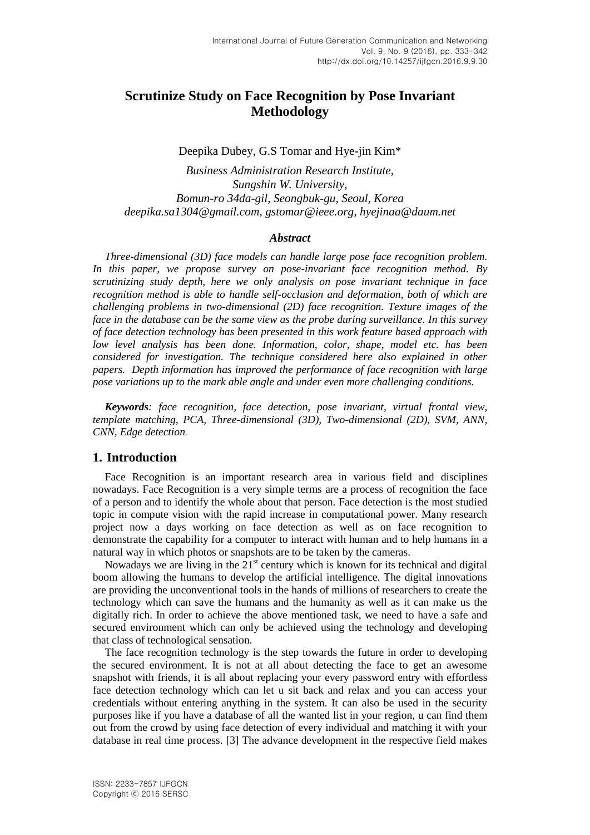# **Scrutinize Study on Face Recognition by Pose Invariant Methodology**

Deepika Dubey, G.S Tomar and Hye-jin Kim\*

*Business Administration Research Institute, Sungshin W. University, Bomun-ro 34da-gil, Seongbuk-gu, Seoul, Korea [deepika.sa1304@gmail.com,](mailto:deepika.sa1304@gmail.com) [gstomar@ieee.org,](mailto:gstomar@ieee.org) [hyejinaa@daum.net](mailto:hyejinaa@daum.net)*

#### *Abstract*

*Three-dimensional (3D) face models can handle large pose face recognition problem. In this paper, we propose survey on pose-invariant face recognition method. By scrutinizing study depth, here we only analysis on pose invariant technique in face recognition method is able to handle self-occlusion and deformation, both of which are challenging problems in two-dimensional (2D) face recognition. Texture images of the face in the database can be the same view as the probe during surveillance. In this survey of face detection technology has been presented in this work feature based approach with low level analysis has been done. Information, color, shape, model etc. has been considered for investigation. The technique considered here also explained in other papers. Depth information has improved the performance of face recognition with large pose variations up to the mark able angle and under even more challenging conditions.*

*Keywords: face recognition, face detection, pose invariant, virtual frontal view, template matching, PCA, Three-dimensional (3D), Two-dimensional (2D), SVM, ANN, CNN, Edge detection.*

## **1. Introduction**

Face Recognition is an important research area in various field and disciplines nowadays. Face Recognition is a very simple terms are a process of recognition the face of a person and to identify the whole about that person. Face detection is the most studied topic in compute vision with the rapid increase in computational power. Many research project now a days working on face detection as well as on face recognition to demonstrate the capability for a computer to interact with human and to help humans in a natural way in which photos or snapshots are to be taken by the cameras.

Nowadays we are living in the  $21<sup>st</sup>$  century which is known for its technical and digital boom allowing the humans to develop the artificial intelligence. The digital innovations are providing the unconventional tools in the hands of millions of researchers to create the technology which can save the humans and the humanity as well as it can make us the digitally rich. In order to achieve the above mentioned task, we need to have a safe and secured environment which can only be achieved using the technology and developing that class of technological sensation.

The face recognition technology is the step towards the future in order to developing the secured environment. It is not at all about detecting the face to get an awesome snapshot with friends, it is all about replacing your every password entry with effortless face detection technology which can let u sit back and relax and you can access your credentials without entering anything in the system. It can also be used in the security purposes like if you have a database of all the wanted list in your region, u can find them out from the crowd by using face detection of every individual and matching it with your database in real time process. [3] The advance development in the respective field makes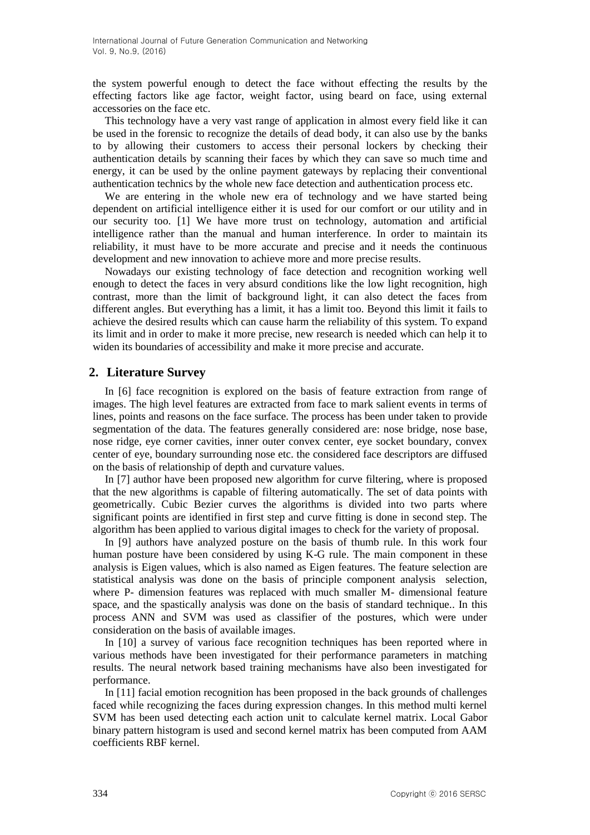the system powerful enough to detect the face without effecting the results by the effecting factors like age factor, weight factor, using beard on face, using external accessories on the face etc.

This technology have a very vast range of application in almost every field like it can be used in the forensic to recognize the details of dead body, it can also use by the banks to by allowing their customers to access their personal lockers by checking their authentication details by scanning their faces by which they can save so much time and energy, it can be used by the online payment gateways by replacing their conventional authentication technics by the whole new face detection and authentication process etc.

We are entering in the whole new era of technology and we have started being dependent on artificial intelligence either it is used for our comfort or our utility and in our security too. [1] We have more trust on technology, automation and artificial intelligence rather than the manual and human interference. In order to maintain its reliability, it must have to be more accurate and precise and it needs the continuous development and new innovation to achieve more and more precise results.

Nowadays our existing technology of face detection and recognition working well enough to detect the faces in very absurd conditions like the low light recognition, high contrast, more than the limit of background light, it can also detect the faces from different angles. But everything has a limit, it has a limit too. Beyond this limit it fails to achieve the desired results which can cause harm the reliability of this system. To expand its limit and in order to make it more precise, new research is needed which can help it to widen its boundaries of accessibility and make it more precise and accurate.

## **2. Literature Survey**

In [6] face recognition is explored on the basis of feature extraction from range of images. The high level features are extracted from face to mark salient events in terms of lines, points and reasons on the face surface. The process has been under taken to provide segmentation of the data. The features generally considered are: nose bridge, nose base, nose ridge, eye corner cavities, inner outer convex center, eye socket boundary, convex center of eye, boundary surrounding nose etc. the considered face descriptors are diffused on the basis of relationship of depth and curvature values.

In [7] author have been proposed new algorithm for curve filtering, where is proposed that the new algorithms is capable of filtering automatically. The set of data points with geometrically. Cubic Bezier curves the algorithms is divided into two parts where significant points are identified in first step and curve fitting is done in second step. The algorithm has been applied to various digital images to check for the variety of proposal.

In [9] authors have analyzed posture on the basis of thumb rule. In this work four human posture have been considered by using K-G rule. The main component in these analysis is Eigen values, which is also named as Eigen features. The feature selection are statistical analysis was done on the basis of principle component analysis selection, where P- dimension features was replaced with much smaller M- dimensional feature space, and the spastically analysis was done on the basis of standard technique.. In this process ANN and SVM was used as classifier of the postures, which were under consideration on the basis of available images.

In [10] a survey of various face recognition techniques has been reported where in various methods have been investigated for their performance parameters in matching results. The neural network based training mechanisms have also been investigated for performance.

In [11] facial emotion recognition has been proposed in the back grounds of challenges faced while recognizing the faces during expression changes. In this method multi kernel SVM has been used detecting each action unit to calculate kernel matrix. Local Gabor binary pattern histogram is used and second kernel matrix has been computed from AAM coefficients RBF kernel.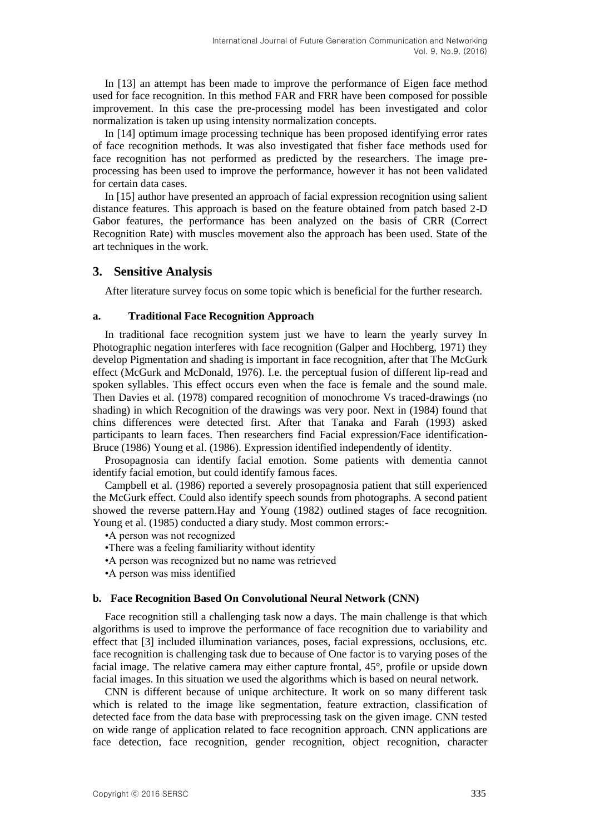In [13] an attempt has been made to improve the performance of Eigen face method used for face recognition. In this method FAR and FRR have been composed for possible improvement. In this case the pre-processing model has been investigated and color normalization is taken up using intensity normalization concepts.

In [14] optimum image processing technique has been proposed identifying error rates of face recognition methods. It was also investigated that fisher face methods used for face recognition has not performed as predicted by the researchers. The image preprocessing has been used to improve the performance, however it has not been validated for certain data cases.

In [15] author have presented an approach of facial expression recognition using salient distance features. This approach is based on the feature obtained from patch based 2-D Gabor features, the performance has been analyzed on the basis of CRR (Correct Recognition Rate) with muscles movement also the approach has been used. State of the art techniques in the work.

#### **3. Sensitive Analysis**

After literature survey focus on some topic which is beneficial for the further research.

#### **a. Traditional Face Recognition Approach**

In traditional face recognition system just we have to learn the yearly survey In Photographic negation interferes with face recognition (Galper and Hochberg, 1971) they develop Pigmentation and shading is important in face recognition, after that The McGurk effect (McGurk and McDonald, 1976). I.e. the perceptual fusion of different lip-read and spoken syllables. This effect occurs even when the face is female and the sound male. Then Davies et al. (1978) compared recognition of monochrome Vs traced-drawings (no shading) in which Recognition of the drawings was very poor. Next in (1984) found that chins differences were detected first. After that Tanaka and Farah (1993) asked participants to learn faces. Then researchers find Facial expression/Face identification-Bruce (1986) Young et al. (1986). Expression identified independently of identity.

Prosopagnosia can identify facial emotion. Some patients with dementia cannot identify facial emotion, but could identify famous faces.

Campbell et al. (1986) reported a severely prosopagnosia patient that still experienced the McGurk effect. Could also identify speech sounds from photographs. A second patient showed the reverse pattern.Hay and Young (1982) outlined stages of face recognition. Young et al. (1985) conducted a diary study. Most common errors:-

•A person was not recognized

- •There was a feeling familiarity without identity
- •A person was recognized but no name was retrieved
- •A person was miss identified

#### **b. Face Recognition Based On Convolutional Neural Network (CNN)**

Face recognition still a challenging task now a days. The main challenge is that which algorithms is used to improve the performance of face recognition due to variability and effect that [3] included illumination variances, poses, facial expressions, occlusions, etc. face recognition is challenging task due to because of One factor is to varying poses of the facial image. The relative camera may either capture frontal, 45°, profile or upside down facial images. In this situation we used the algorithms which is based on neural network.

CNN is different because of unique architecture. It work on so many different task which is related to the image like segmentation, feature extraction, classification of detected face from the data base with preprocessing task on the given image. CNN tested on wide range of application related to face recognition approach. CNN applications are face detection, face recognition, gender recognition, object recognition, character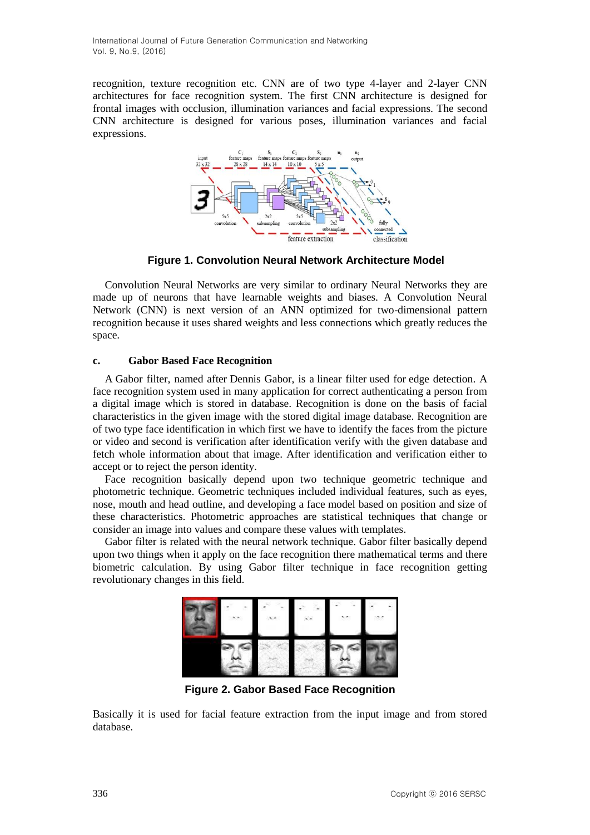recognition, texture recognition etc. CNN are of two type 4-layer and 2-layer CNN architectures for face recognition system. The first CNN architecture is designed for frontal images with occlusion, illumination variances and facial expressions. The second CNN architecture is designed for various poses, illumination variances and facial expressions.



**Figure 1. Convolution Neural Network Architecture Model**

Convolution Neural Networks are very similar to ordinary Neural Networks they are made up of neurons that have learnable weights and biases. A Convolution Neural Network (CNN) is next version of an ANN optimized for two-dimensional pattern recognition because it uses shared weights and less connections which greatly reduces the space.

## **c. Gabor Based Face Recognition**

A Gabor filter, named after [Dennis Gabor,](https://en.wikipedia.org/wiki/Dennis_Gabor) is a [linear filter](https://en.wikipedia.org/wiki/Linear_filter) used for [edge detection.](https://en.wikipedia.org/wiki/Edge_detection) A face recognition system used in many application for correct authenticating a person from a digital image which is stored in database. Recognition is done on the basis of facial characteristics in the given image with the stored digital image database. Recognition are of two type face identification in which first we have to identify the faces from the picture or video and second is verification after identification verify with the given database and fetch whole information about that image. After identification and verification either to accept or to reject the person identity.

Face recognition basically depend upon two technique geometric technique and photometric technique. Geometric techniques included individual features, such as eyes, nose, mouth and head outline, and developing a face model based on position and size of these characteristics. Photometric approaches are statistical techniques that change or consider an image into values and compare these values with templates.

Gabor filter is related with the neural network technique. Gabor filter basically depend upon two things when it apply on the face recognition there mathematical terms and there biometric calculation. By using Gabor filter technique in face recognition getting revolutionary changes in this field.



**Figure 2. Gabor Based Face Recognition**

Basically it is used for facial feature extraction from the input image and from stored database.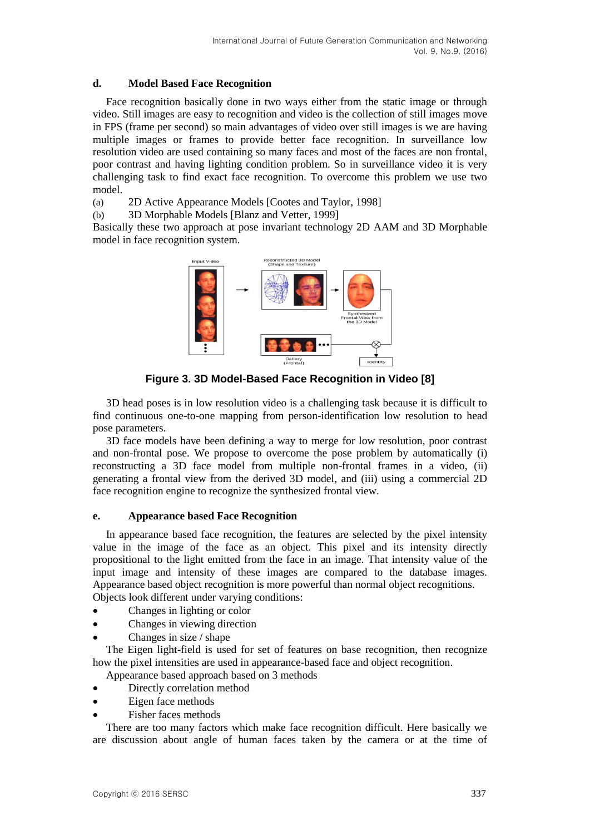#### **d. Model Based Face Recognition**

Face recognition basically done in two ways either from the static image or through video. Still images are easy to recognition and video is the collection of still images move in FPS (frame per second) so main advantages of video over still images is we are having multiple images or frames to provide better face recognition. In surveillance low resolution video are used containing so many faces and most of the faces are non frontal, poor contrast and having lighting condition problem. So in surveillance video it is very challenging task to find exact face recognition. To overcome this problem we use two model.

(a) 2D Active Appearance Models [Cootes and Taylor, 1998]

(b) 3D Morphable Models [Blanz and Vetter, 1999]

Basically these two approach at pose invariant technology 2D AAM and 3D Morphable model in face recognition system.



**Figure 3. 3D Model-Based Face Recognition in Video [8]**

3D head poses is in low resolution video is a challenging task because it is difficult to find continuous one-to-one mapping from person-identification low resolution to head pose parameters.

3D face models have been defining a way to merge for low resolution, poor contrast and non-frontal pose. We propose to overcome the pose problem by automatically (i) reconstructing a 3D face model from multiple non-frontal frames in a video, (ii) generating a frontal view from the derived 3D model, and (iii) using a commercial 2D face recognition engine to recognize the synthesized frontal view.

#### **e. Appearance based Face Recognition**

In appearance based face recognition, the features are selected by the pixel intensity value in the image of the face as an object. This pixel and its intensity directly propositional to the light emitted from the face in an image. That intensity value of the input image and intensity of these images are compared to the database images. Appearance based object recognition is more powerful than normal object recognitions. Objects look different under varying conditions:

- Changes in lighting or color
- Changes in viewing direction
- Changes in size / shape

The Eigen light-field is used for set of features on base recognition, then recognize how the pixel intensities are used in appearance-based face and object recognition.

- Appearance based approach based on 3 methods
- Directly correlation method
- Eigen face methods
- Fisher faces methods

There are too many factors which make face recognition difficult. Here basically we are discussion about angle of human faces taken by the camera or at the time of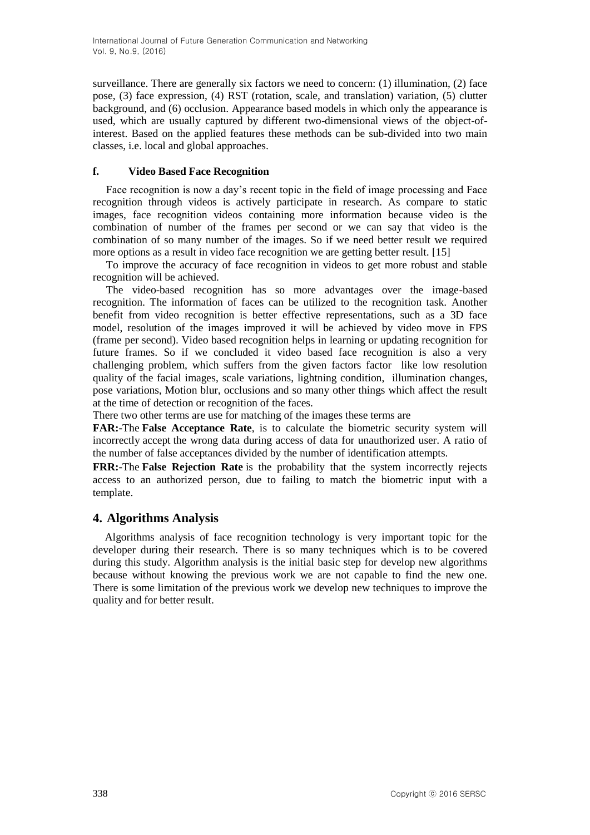surveillance. There are generally six factors we need to concern: (1) illumination, (2) face pose, (3) face expression, (4) RST (rotation, scale, and translation) variation, (5) clutter background, and (6) occlusion. Appearance based models in which only the appearance is used, which are usually captured by different two-dimensional views of the object-ofinterest. Based on the applied features these methods can be sub-divided into two main classes, i.e. local and global approaches.

### **f. Video Based Face Recognition**

Face recognition is now a day's recent topic in the field of image processing and Face recognition through videos is actively participate in research. As compare to static images, face recognition videos containing more information because video is the combination of number of the frames per second or we can say that video is the combination of so many number of the images. So if we need better result we required more options as a result in video face recognition we are getting better result. [15]

To improve the accuracy of face recognition in videos to get more robust and stable recognition will be achieved.

The video-based recognition has so more advantages over the image-based recognition. The information of faces can be utilized to the recognition task. Another benefit from video recognition is better effective representations, such as a 3D face model, resolution of the images improved it will be achieved by video move in FPS (frame per second). Video based recognition helps in learning or updating recognition for future frames. So if we concluded it video based face recognition is also a very challenging problem, which suffers from the given factors factor like low resolution quality of the facial images, scale variations, lightning condition, illumination changes, pose variations, Motion blur, occlusions and so many other things which affect the result at the time of detection or recognition of the faces.

There two other terms are use for matching of the images these terms are

**FAR:-**The **False Acceptance Rate**, is to calculate the biometric security system will incorrectly accept the wrong data during access of data for unauthorized user. A ratio of the number of false acceptances divided by the number of identification attempts.

**FRR:-**The **False Rejection Rate** is the probability that the system incorrectly rejects access to an authorized person, due to failing to match the biometric input with a template.

## **4. Algorithms Analysis**

Algorithms analysis of face recognition technology is very important topic for the developer during their research. There is so many techniques which is to be covered during this study. Algorithm analysis is the initial basic step for develop new algorithms because without knowing the previous work we are not capable to find the new one. There is some limitation of the previous work we develop new techniques to improve the quality and for better result.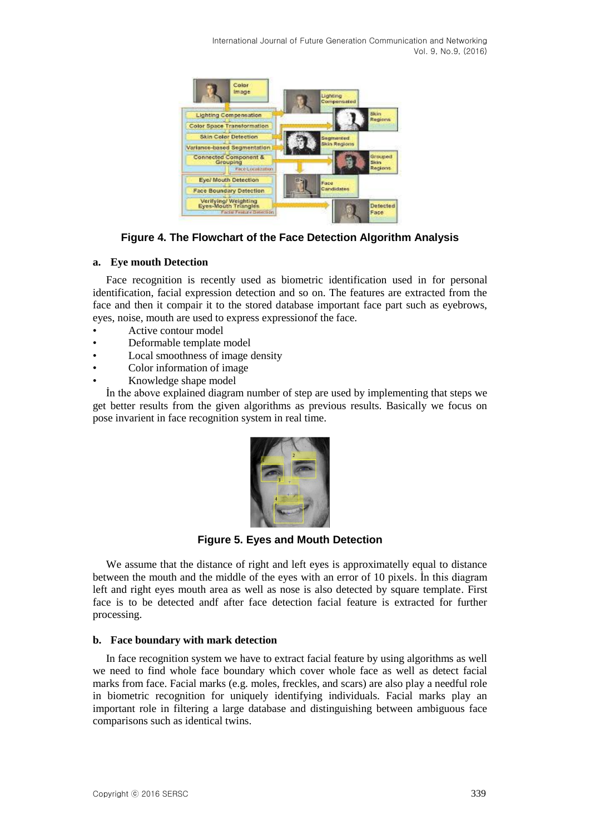

**Figure 4. The Flowchart of the Face Detection Algorithm Analysis**

#### **a. Eye mouth Detection**

Face recognition is recently used as biometric identification used in for personal identification, facial expression detection and so on. The features are extracted from the face and then it compair it to the stored database important face part such as eyebrows, eyes, noise, mouth are used to express expressionof the face.

- Active contour model
- Deformable template model
- Local smoothness of image density
- Color information of image
- Knowledge shape model

İn the above explained diagram number of step are used by implementing that steps we get better results from the given algorithms as previous results. Basically we focus on pose invarient in face recognition system in real time.



**Figure 5. Eyes and Mouth Detection**

We assume that the distance of right and left eyes is approximatelly equal to distance between the mouth and the middle of the eyes with an error of 10 pixels. İn this diagram left and right eyes mouth area as well as nose is also detected by square template. First face is to be detected andf after face detection facial feature is extracted for further processing.

#### **b. Face boundary with mark detection**

In face recognition system we have to extract facial feature by using algorithms as well we need to find whole face boundary which cover whole face as well as detect facial marks from face. Facial marks (e.g. moles, freckles, and scars) are also play a needful role in biometric recognition for uniquely identifying individuals. Facial marks play an important role in filtering a large database and distinguishing between ambiguous face comparisons such as identical twins.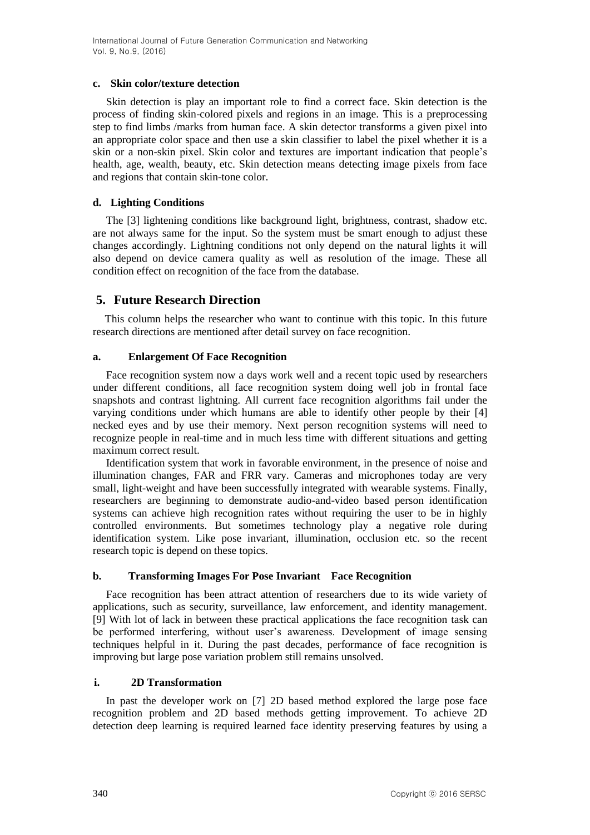#### **c. Skin color/texture detection**

Skin detection is play an important role to find a correct face. Skin detection is the process of finding skin-colored pixels and regions in an image. This is a preprocessing step to find limbs /marks from human face. A skin detector transforms a given pixel into an appropriate color space and then use a skin classifier to label the pixel whether it is a skin or a non-skin pixel. Skin color and textures are important indication that people's health, age, wealth, beauty, etc. Skin detection means detecting image pixels from face and regions that contain skin-tone color.

### **d. Lighting Conditions**

The [3] lightening conditions like background light, brightness, contrast, shadow etc. are not always same for the input. So the system must be smart enough to adjust these changes accordingly. Lightning conditions not only depend on the natural lights it will also depend on device camera quality as well as resolution of the image. These all condition effect on recognition of the face from the database.

## **5. Future Research Direction**

This column helps the researcher who want to continue with this topic. In this future research directions are mentioned after detail survey on face recognition.

#### **a. Enlargement Of Face Recognition**

Face recognition system now a days work well and a recent topic used by researchers under different conditions, all face recognition system doing well job in frontal face snapshots and contrast lightning. All current face recognition algorithms fail under the varying conditions under which humans are able to identify other people by their [4] necked eyes and by use their memory. Next person recognition systems will need to recognize people in real-time and in much less time with different situations and getting maximum correct result.

Identification system that work in favorable environment, in the presence of noise and illumination changes, FAR and FRR vary. Cameras and microphones today are very small, light-weight and have been successfully integrated with wearable systems. Finally, researchers are beginning to demonstrate audio-and-video based person identification systems can achieve high recognition rates without requiring the user to be in highly controlled environments. But sometimes technology play a negative role during identification system. Like pose invariant, illumination, occlusion etc. so the recent research topic is depend on these topics.

#### **b. Transforming Images For Pose Invariant Face Recognition**

Face recognition has been attract attention of researchers due to its wide variety of applications, such as security, surveillance, law enforcement, and identity management. [9] With lot of lack in between these practical applications the face recognition task can be performed interfering, without user's awareness. Development of image sensing techniques helpful in it. During the past decades, performance of face recognition is improving but large pose variation problem still remains unsolved.

#### **i. 2D Transformation**

In past the developer work on [7] 2D based method explored the large pose face recognition problem and 2D based methods getting improvement. To achieve 2D detection deep learning is required learned face identity preserving features by using a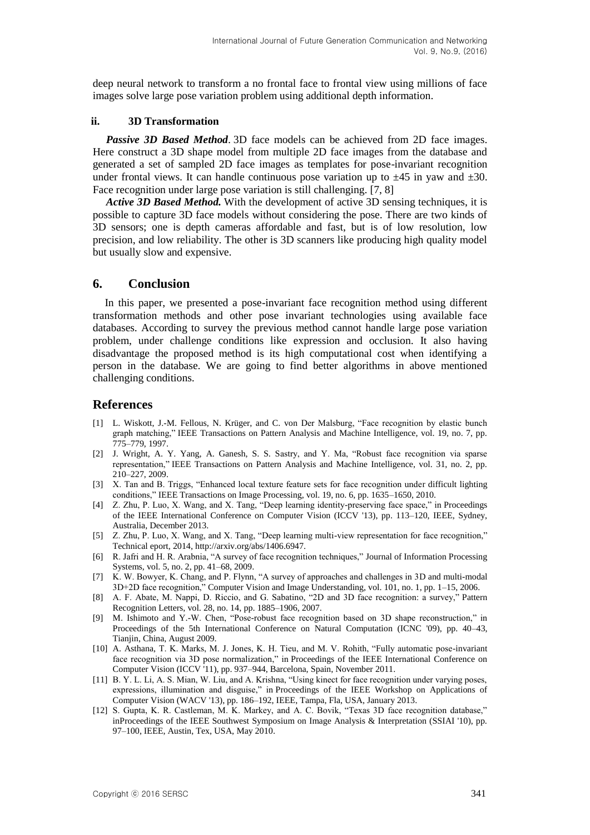deep neural network to transform a no frontal face to frontal view using millions of face images solve large pose variation problem using additional depth information.

#### **ii. 3D Transformation**

*Passive 3D Based Method*. 3D face models can be achieved from 2D face images. Here construct a 3D shape model from multiple 2D face images from the database and generated a set of sampled 2D face images as templates for pose-invariant recognition under frontal views. It can handle continuous pose variation up to  $\pm 45$  in yaw and  $\pm 30$ . Face recognition under large pose variation is still challenging. [7, 8]

*Active 3D Based Method.* With the development of active 3D sensing techniques, it is possible to capture 3D face models without considering the pose. There are two kinds of 3D sensors; one is depth cameras affordable and fast, but is of low resolution, low precision, and low reliability. The other is 3D scanners like producing high quality model but usually slow and expensive.

#### **6. Conclusion**

In this paper, we presented a pose-invariant face recognition method using different transformation methods and other pose invariant technologies using available face databases. According to survey the previous method cannot handle large pose variation problem, under challenge conditions like expression and occlusion. It also having disadvantage the proposed method is its high computational cost when identifying a person in the database. We are going to find better algorithms in above mentioned challenging conditions.

#### **References**

- [1] L. Wiskott, J.-M. Fellous, N. Krüger, and C. von Der Malsburg, "Face recognition by elastic bunch graph matching," IEEE Transactions on Pattern Analysis and Machine Intelligence, vol. 19, no. 7, pp. 775–779, 1997.
- [2] J. Wright, A. Y. Yang, A. Ganesh, S. S. Sastry, and Y. Ma. "Robust face recognition via sparse representation," IEEE Transactions on Pattern Analysis and Machine Intelligence, vol. 31, no. 2, pp. 210–227, 2009.
- [3] X. Tan and B. Triggs, "Enhanced local texture feature sets for face recognition under difficult lighting conditions,‖ IEEE Transactions on Image Processing, vol. 19, no. 6, pp. 1635–1650, 2010.
- [4] Z. Zhu, P. Luo, X. Wang, and X. Tang, "Deep learning identity-preserving face space," in Proceedings of the IEEE International Conference on Computer Vision (ICCV '13), pp. 113–120, IEEE, Sydney, Australia, December 2013.
- [5] Z. Zhu, P. Luo, X. Wang, and X. Tang, "Deep learning multi-view representation for face recognition," Technical eport, 2014, [http://arxiv.org/abs/1406.6947.](http://arxiv.org/abs/1406.6947)
- [6] R. Jafri and H. R. Arabnia, "A survey of face recognition techniques," Journal of Information Processing Systems, vol. 5, no. 2, pp. 41–68, 2009.
- [7] K. W. Bowyer, K. Chang, and P. Flynn, "A survey of approaches and challenges in 3D and multi-modal  $3D+2D$  face recognition," Computer Vision and Image Understanding, vol. 101, no. 1, pp.  $1-15$ , 2006.
- [8] A. F. Abate, M. Nappi, D. Riccio, and G. Sabatino, "2D and 3D face recognition: a survey," Pattern Recognition Letters, vol. 28, no. 14, pp. 1885–1906, 2007.
- [9] M. Ishimoto and Y.-W. Chen, "Pose-robust face recognition based on 3D shape reconstruction," in Proceedings of the 5th International Conference on Natural Computation (ICNC '09), pp. 40–43, Tianjin, China, August 2009.
- [10] A. Asthana, T. K. Marks, M. J. Jones, K. H. Tieu, and M. V. Rohith, "Fully automatic pose-invariant face recognition via 3D pose normalization," in Proceedings of the IEEE International Conference on Computer Vision (ICCV '11), pp. 937–944, Barcelona, Spain, November 2011.
- [11] B. Y. L. Li, A. S. Mian, W. Liu, and A. Krishna, "Using kinect for face recognition under varying poses, expressions, illumination and disguise," in Proceedings of the IEEE Workshop on Applications of Computer Vision (WACV '13), pp. 186–192, IEEE, Tampa, Fla, USA, January 2013.
- [12] S. Gupta, K. R. Castleman, M. K. Markey, and A. C. Bovik, "Texas 3D face recognition database," inProceedings of the IEEE Southwest Symposium on Image Analysis & Interpretation (SSIAI '10), pp. 97–100, IEEE, Austin, Tex, USA, May 2010.